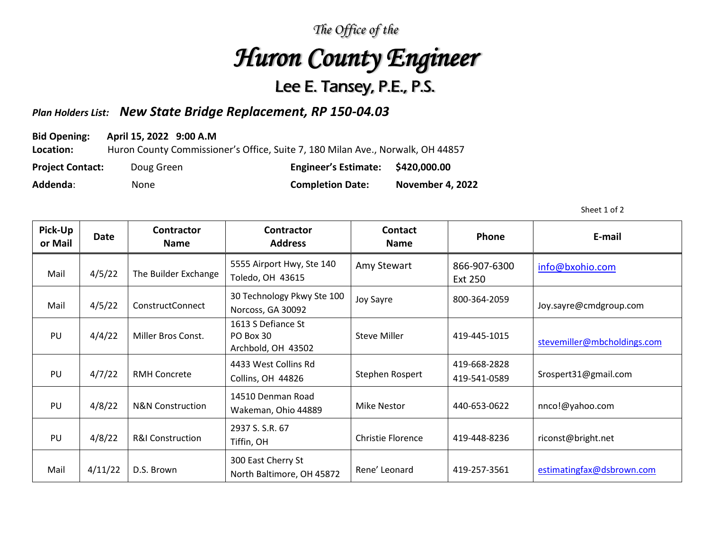*The Office of the* 

## *Huron County Engineer*

## Lee E. Tansey, P.E., P.S.

## *Plan Holders List: New State Bridge Replacement, RP 150-04.03*

**Bid Opening: April 15, 2022 9:00 A.M**

**Location:** Huron County Commissioner's Office, Suite 7, 180 Milan Ave., Norwalk, OH 44857

| <b>Project Contact:</b> | Doug Green | <b>Engineer's Estimate:</b> | \$420,000.00     |
|-------------------------|------------|-----------------------------|------------------|
| Addenda:                | None       | <b>Completion Date:</b>     | November 4, 2022 |

Sheet 1 of 2

| Pick-Up<br>or Mail | Date    | <b>Contractor</b><br><b>Name</b> | <b>Contractor</b><br><b>Address</b>                   | <b>Contact</b><br><b>Name</b> | <b>Phone</b>                   | E-mail                      |
|--------------------|---------|----------------------------------|-------------------------------------------------------|-------------------------------|--------------------------------|-----------------------------|
| Mail               | 4/5/22  | The Builder Exchange             | 5555 Airport Hwy, Ste 140<br>Toledo, OH 43615         | Amy Stewart                   | 866-907-6300<br><b>Ext 250</b> | info@bxohio.com             |
| Mail               | 4/5/22  | ConstructConnect                 | 30 Technology Pkwy Ste 100<br>Norcoss, GA 30092       | Joy Sayre                     | 800-364-2059                   | Joy.sayre@cmdgroup.com      |
| PU                 | 4/4/22  | Miller Bros Const.               | 1613 S Defiance St<br>PO Box 30<br>Archbold, OH 43502 | <b>Steve Miller</b>           | 419-445-1015                   | stevemiller@mbcholdings.com |
| PU                 | 4/7/22  | <b>RMH Concrete</b>              | 4433 West Collins Rd<br>Collins, OH 44826             | Stephen Rospert               | 419-668-2828<br>419-541-0589   | Srospert31@gmail.com        |
| PU                 | 4/8/22  | <b>N&amp;N Construction</b>      | 14510 Denman Road<br>Wakeman, Ohio 44889              | <b>Mike Nestor</b>            | 440-653-0622                   | nnco!@yahoo.com             |
| PU                 | 4/8/22  | <b>R&amp;I Construction</b>      | 2937 S.S.R. 67<br>Tiffin, OH                          | <b>Christie Florence</b>      | 419-448-8236                   | riconst@bright.net          |
| Mail               | 4/11/22 | D.S. Brown                       | 300 East Cherry St<br>North Baltimore, OH 45872       | Rene' Leonard                 | 419-257-3561                   | estimatingfax@dsbrown.com   |